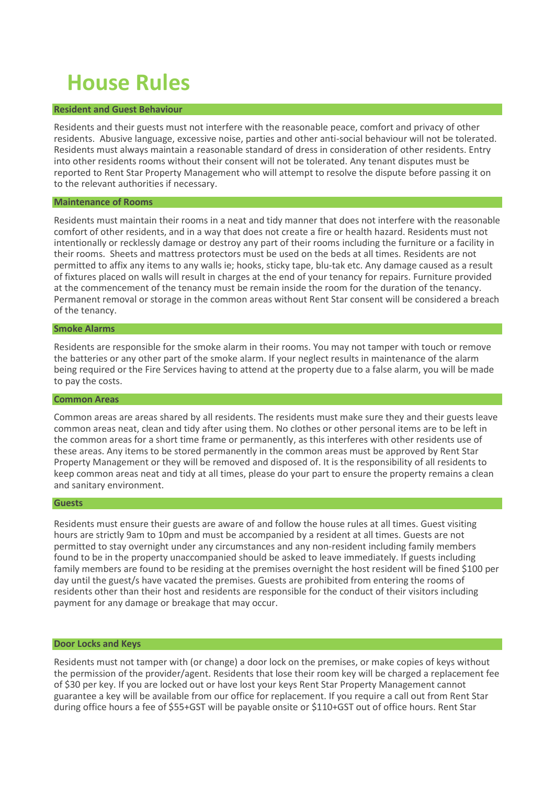# **House Rules**

## **Resident and Guest Behaviour**

Residents and their guests must not interfere with the reasonable peace, comfort and privacy of other residents. Abusive language, excessive noise, parties and other anti-social behaviour will not be tolerated. Residents must always maintain a reasonable standard of dress in consideration of other residents. Entry into other residents rooms without their consent will not be tolerated. Any tenant disputes must be reported to Rent Star Property Management who will attempt to resolve the dispute before passing it on to the relevant authorities if necessary.

## **Maintenance of Rooms**

Residents must maintain their rooms in a neat and tidy manner that does not interfere with the reasonable comfort of other residents, and in a way that does not create a fire or health hazard. Residents must not intentionally or recklessly damage or destroy any part of their rooms including the furniture or a facility in their rooms. Sheets and mattress protectors must be used on the beds at all times. Residents are not permitted to affix any items to any walls ie; hooks, sticky tape, blu-tak etc. Any damage caused as a result of fixtures placed on walls will result in charges at the end of your tenancy for repairs. Furniture provided at the commencement of the tenancy must be remain inside the room for the duration of the tenancy. Permanent removal or storage in the common areas without Rent Star consent will be considered a breach of the tenancy.

## **Smoke Alarms**

Residents are responsible for the smoke alarm in their rooms. You may not tamper with touch or remove the batteries or any other part of the smoke alarm. If your neglect results in maintenance of the alarm being required or the Fire Services having to attend at the property due to a false alarm, you will be made to pay the costs.

## **Common Areas**

Common areas are areas shared by all residents. The residents must make sure they and their guests leave common areas neat, clean and tidy after using them. No clothes or other personal items are to be left in the common areas for a short time frame or permanently, as this interferes with other residents use of these areas. Any items to be stored permanently in the common areas must be approved by Rent Star Property Management or they will be removed and disposed of. It is the responsibility of all residents to keep common areas neat and tidy at all times, please do your part to ensure the property remains a clean and sanitary environment.

## **Guests**

Residents must ensure their guests are aware of and follow the house rules at all times. Guest visiting hours are strictly 9am to 10pm and must be accompanied by a resident at all times. Guests are not permitted to stay overnight under any circumstances and any non-resident including family members found to be in the property unaccompanied should be asked to leave immediately. If guests including family members are found to be residing at the premises overnight the host resident will be fined \$100 per day until the guest/s have vacated the premises. Guests are prohibited from entering the rooms of residents other than their host and residents are responsible for the conduct of their visitors including payment for any damage or breakage that may occur.

# **Door Locks and Keys**

Residents must not tamper with (or change) a door lock on the premises, or make copies of keys without the permission of the provider/agent. Residents that lose their room key will be charged a replacement fee of \$30 per key. If you are locked out or have lost your keys Rent Star Property Management cannot guarantee a key will be available from our office for replacement. If you require a call out from Rent Star during office hours a fee of \$55+GST will be payable onsite or \$110+GST out of office hours. Rent Star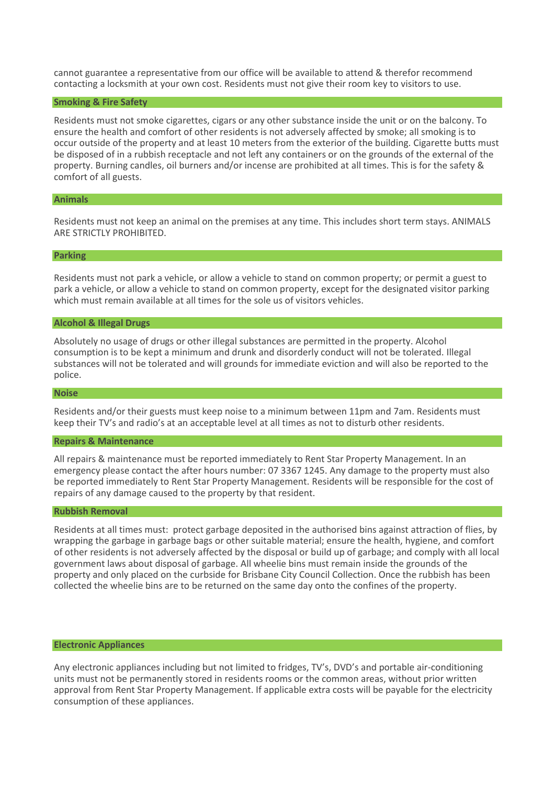cannot guarantee a representative from our office will be available to attend & therefor recommend contacting a locksmith at your own cost. Residents must not give their room key to visitors to use.

## **Smoking & Fire Safety**

Residents must not smoke cigarettes, cigars or any other substance inside the unit or on the balcony. To ensure the health and comfort of other residents is not adversely affected by smoke; all smoking is to occur outside of the property and at least 10 meters from the exterior of the building. Cigarette butts must be disposed of in a rubbish receptacle and not left any containers or on the grounds of the external of the property. Burning candles, oil burners and/or incense are prohibited at all times. This is for the safety & comfort of all guests.

# **Animals**

Residents must not keep an animal on the premises at any time. This includes short term stays. ANIMALS ARE STRICTLY PROHIBITED.

## **Parking**

Residents must not park a vehicle, or allow a vehicle to stand on common property; or permit a guest to park a vehicle, or allow a vehicle to stand on common property, except for the designated visitor parking which must remain available at all times for the sole us of visitors vehicles.

## **Alcohol & Illegal Drugs**

Absolutely no usage of drugs or other illegal substances are permitted in the property. Alcohol consumption is to be kept a minimum and drunk and disorderly conduct will not be tolerated. Illegal substances will not be tolerated and will grounds for immediate eviction and will also be reported to the police.

# **Noise**

Residents and/or their guests must keep noise to a minimum between 11pm and 7am. Residents must keep their TV's and radio's at an acceptable level at all times as not to disturb other residents.

#### **Repairs & Maintenance**

All repairs & maintenance must be reported immediately to Rent Star Property Management. In an emergency please contact the after hours number: 07 3367 1245. Any damage to the property must also be reported immediately to Rent Star Property Management. Residents will be responsible for the cost of repairs of any damage caused to the property by that resident.

## **Rubbish Removal**

Residents at all times must: protect garbage deposited in the authorised bins against attraction of flies, by wrapping the garbage in garbage bags or other suitable material; ensure the health, hygiene, and comfort of other residents is not adversely affected by the disposal or build up of garbage; and comply with all local government laws about disposal of garbage. All wheelie bins must remain inside the grounds of the property and only placed on the curbside for Brisbane City Council Collection. Once the rubbish has been collected the wheelie bins are to be returned on the same day onto the confines of the property.

## **Electronic Appliances**

Any electronic appliances including but not limited to fridges, TV's, DVD's and portable air-conditioning units must not be permanently stored in residents rooms or the common areas, without prior written approval from Rent Star Property Management. If applicable extra costs will be payable for the electricity consumption of these appliances.